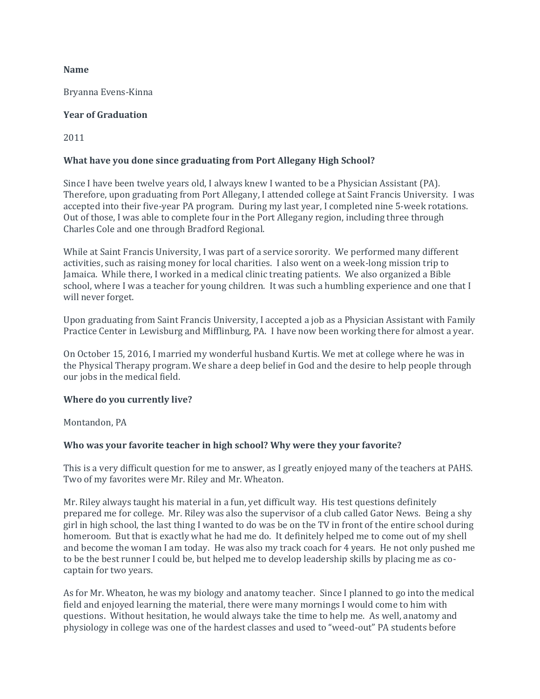#### **Name**

Bryanna Evens-Kinna

### **Year of Graduation**

2011

# **What have you done since graduating from Port Allegany High School?**

Since I have been twelve years old, I always knew I wanted to be a Physician Assistant (PA). Therefore, upon graduating from Port Allegany, I attended college at Saint Francis University. I was accepted into their five-year PA program. During my last year, I completed nine 5-week rotations. Out of those, I was able to complete four in the Port Allegany region, including three through Charles Cole and one through Bradford Regional.

While at Saint Francis University, I was part of a service sorority. We performed many different activities, such as raising money for local charities. I also went on a week-long mission trip to Jamaica. While there, I worked in a medical clinic treating patients. We also organized a Bible school, where I was a teacher for young children. It was such a humbling experience and one that I will never forget.

Upon graduating from Saint Francis University, I accepted a job as a Physician Assistant with Family Practice Center in Lewisburg and Mifflinburg, PA. I have now been working there for almost a year.

On October 15, 2016, I married my wonderful husband Kurtis. We met at college where he was in the Physical Therapy program. We share a deep belief in God and the desire to help people through our jobs in the medical field.

# **Where do you currently live?**

#### Montandon, PA

# **Who was your favorite teacher in high school? Why were they your favorite?**

This is a very difficult question for me to answer, as I greatly enjoyed many of the teachers at PAHS. Two of my favorites were Mr. Riley and Mr. Wheaton.

Mr. Riley always taught his material in a fun, yet difficult way. His test questions definitely prepared me for college. Mr. Riley was also the supervisor of a club called Gator News. Being a shy girl in high school, the last thing I wanted to do was be on the TV in front of the entire school during homeroom. But that is exactly what he had me do. It definitely helped me to come out of my shell and become the woman I am today. He was also my track coach for 4 years. He not only pushed me to be the best runner I could be, but helped me to develop leadership skills by placing me as cocaptain for two years.

As for Mr. Wheaton, he was my biology and anatomy teacher. Since I planned to go into the medical field and enjoyed learning the material, there were many mornings I would come to him with questions. Without hesitation, he would always take the time to help me. As well, anatomy and physiology in college was one of the hardest classes and used to "weed-out" PA students before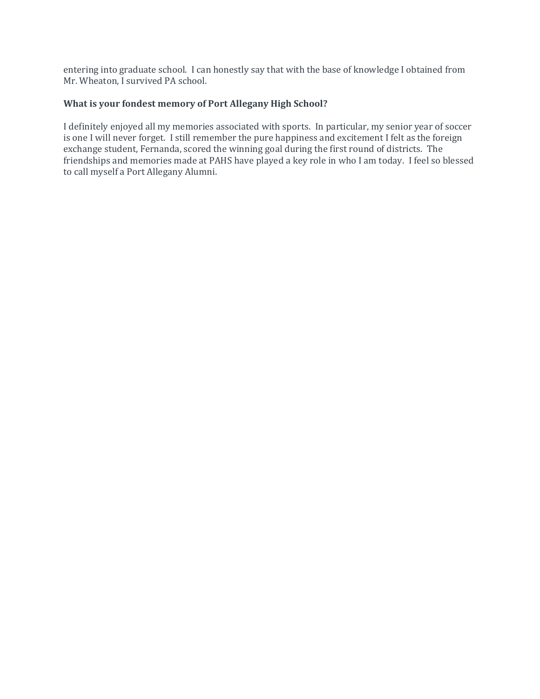entering into graduate school. I can honestly say that with the base of knowledge I obtained from Mr. Wheaton, I survived PA school.

### **What is your fondest memory of Port Allegany High School?**

I definitely enjoyed all my memories associated with sports. In particular, my senior year of soccer is one I will never forget. I still remember the pure happiness and excitement I felt as the foreign exchange student, Fernanda, scored the winning goal during the first round of districts. The friendships and memories made at PAHS have played a key role in who I am today. I feel so blessed to call myself a Port Allegany Alumni.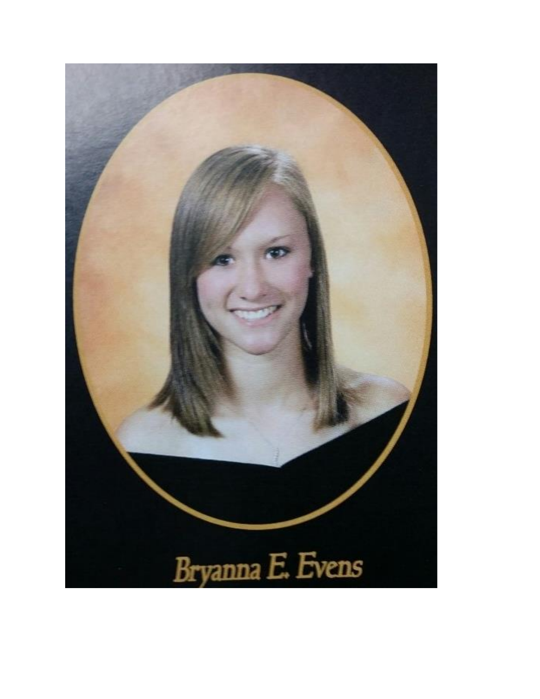